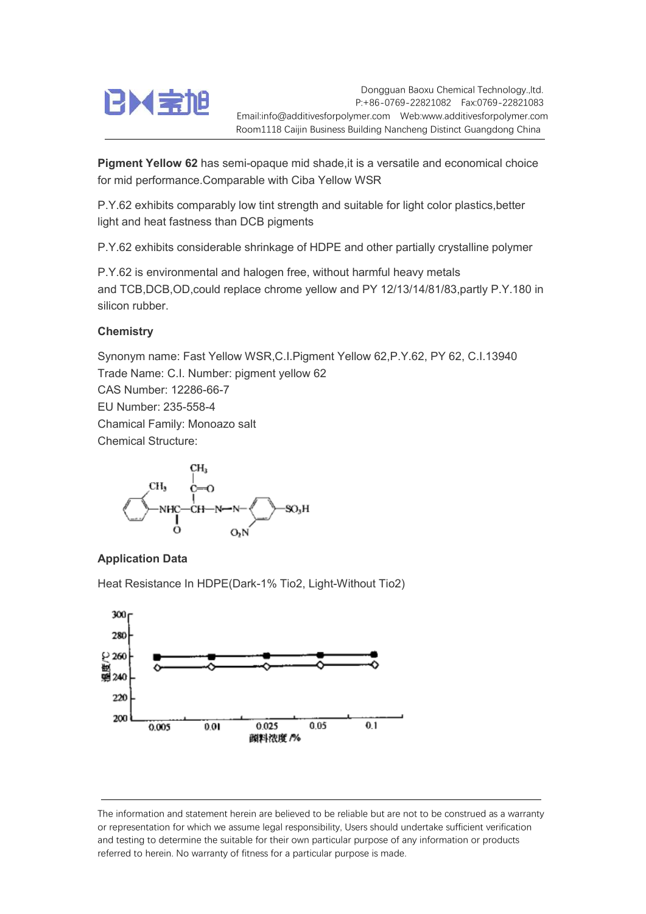

Dongguan Baoxu Chemical Technology.,ltd. P:+86-0769-22821082 Fax:0769-22821083 Email:info@additivesforpolymer.com Web:www.additivesforpolymer.com Room1118 Caijin Business Building Nancheng Distinct Guangdong China

Pigment Yellow 62 has semi-opaque mid shade, it is a versatile and economical choice for mid performance.Comparable with Ciba Yellow WSR

P.Y.62 exhibits comparably low tint strength and suitable for light color plastics,better light and heat fastness than DCB pigments

P.Y.62 exhibits considerable shrinkage of HDPE and other partially crystalline polymer

P.Y.62 is environmental and halogen free, without harmful heavy metals and TCB,DCB,OD,could replace chrome yellow and PY 12/13/14/81/83,partly P.Y.180 in silicon rubber.

## **Chemistry**

Synonym name: Fast Yellow WSR,C.I.Pigment Yellow 62,P.Y.62, PY 62, C.I.13940 Trade Name: C.I. Number: pigment yellow 62 CAS Number: 12286-66-7 EU Number: 235-558-4 Chamical Family: Monoazo salt Chemical Structure:



## Application Data

Heat Resistance In HDPE(Dark-1% Tio2, Light-Without Tio2)



The information and statement herein are believed to be reliable but are not to be construed as a warranty or representation for which we assume legal responsibility, Users should undertake sufficient verification and testing to determine the suitable for their own particular purpose of any information or products referred to herein. No warranty of fitness for a particular purpose is made.